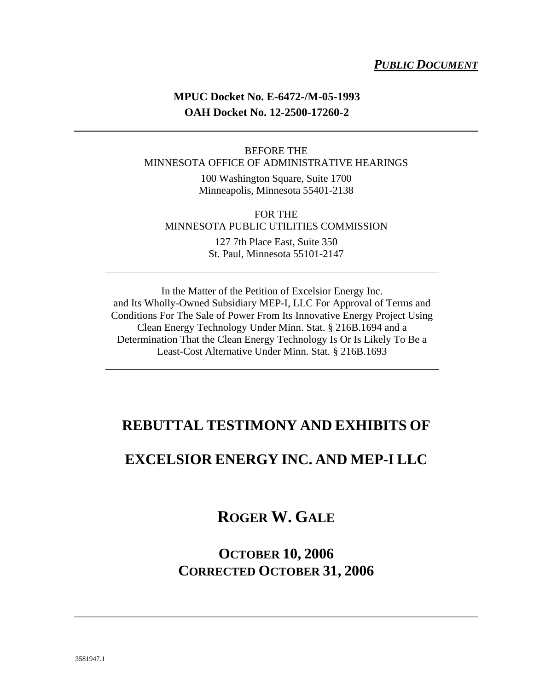#### *PUBLIC DOCUMENT*

### **MPUC Docket No. E-6472-/M-05-1993 OAH Docket No. 12-2500-17260-2**

#### BEFORE THE MINNESOTA OFFICE OF ADMINISTRATIVE HEARINGS

100 Washington Square, Suite 1700 Minneapolis, Minnesota 55401-2138

#### FOR THE MINNESOTA PUBLIC UTILITIES COMMISSION

127 7th Place East, Suite 350 St. Paul, Minnesota 55101-2147

In the Matter of the Petition of Excelsior Energy Inc. and Its Wholly-Owned Subsidiary MEP-I, LLC For Approval of Terms and Conditions For The Sale of Power From Its Innovative Energy Project Using Clean Energy Technology Under Minn. Stat. § 216B.1694 and a Determination That the Clean Energy Technology Is Or Is Likely To Be a Least-Cost Alternative Under Minn. Stat. § 216B.1693

### **REBUTTAL TESTIMONY AND EXHIBITS OF**

### **EXCELSIOR ENERGY INC. AND MEP-I LLC**

**ROGER W. GALE**

**OCTOBER 10, 2006 CORRECTED OCTOBER 31, 2006**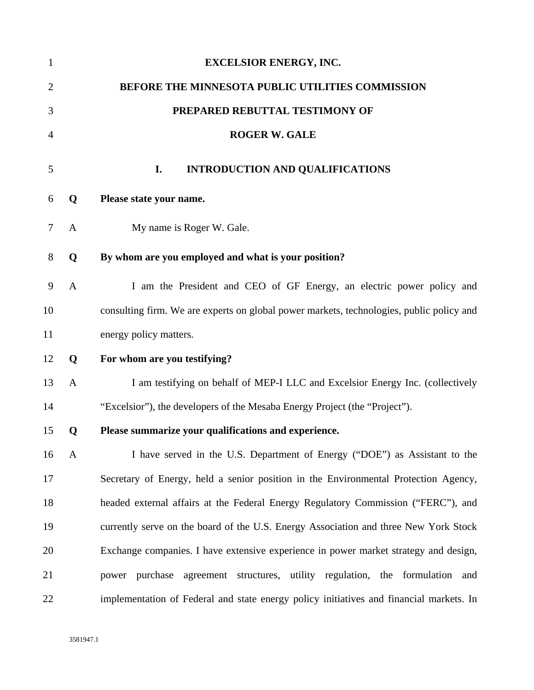| $\mathbf{1}$   |              | <b>EXCELSIOR ENERGY, INC.</b>                                                            |
|----------------|--------------|------------------------------------------------------------------------------------------|
| $\overline{2}$ |              | BEFORE THE MINNESOTA PUBLIC UTILITIES COMMISSION                                         |
| 3              |              | PREPARED REBUTTAL TESTIMONY OF                                                           |
| 4              |              | <b>ROGER W. GALE</b>                                                                     |
| 5              |              | I.<br><b>INTRODUCTION AND QUALIFICATIONS</b>                                             |
| 6              | Q            | Please state your name.                                                                  |
| 7              | A            | My name is Roger W. Gale.                                                                |
| 8              | Q            | By whom are you employed and what is your position?                                      |
| 9              | A            | I am the President and CEO of GF Energy, an electric power policy and                    |
| 10             |              | consulting firm. We are experts on global power markets, technologies, public policy and |
| 11             |              | energy policy matters.                                                                   |
| 12             | Q            | For whom are you testifying?                                                             |
| 13             | $\mathbf{A}$ | I am testifying on behalf of MEP-I LLC and Excelsior Energy Inc. (collectively           |
| 14             |              | "Excelsior"), the developers of the Mesaba Energy Project (the "Project").               |
| 15             | Q            | Please summarize your qualifications and experience.                                     |
| 16             | A            | I have served in the U.S. Department of Energy ("DOE") as Assistant to the               |
| 17             |              | Secretary of Energy, held a senior position in the Environmental Protection Agency,      |
| 18             |              | headed external affairs at the Federal Energy Regulatory Commission ("FERC"), and        |
| 19             |              | currently serve on the board of the U.S. Energy Association and three New York Stock     |
| 20             |              | Exchange companies. I have extensive experience in power market strategy and design,     |
| 21             |              | power purchase agreement structures, utility regulation, the formulation and             |
| 22             |              | implementation of Federal and state energy policy initiatives and financial markets. In  |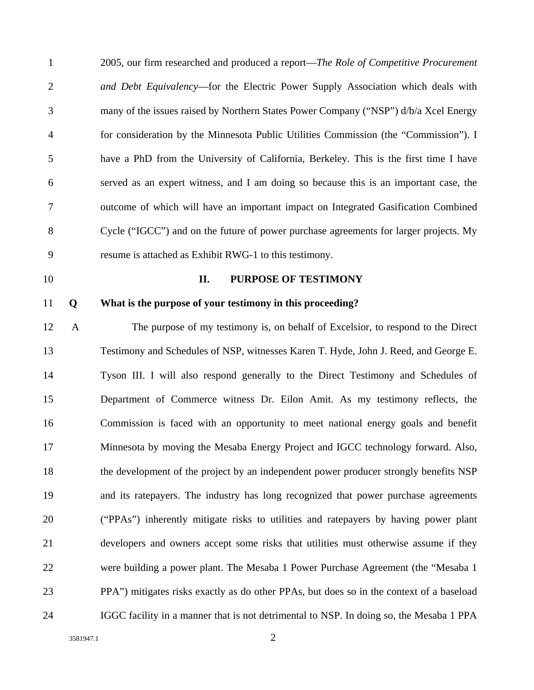| $\mathbf{1}$   |              | 2005, our firm researched and produced a report—The Role of Competitive Procurement      |
|----------------|--------------|------------------------------------------------------------------------------------------|
| $\mathbf{2}$   |              | and Debt Equivalency—for the Electric Power Supply Association which deals with          |
| 3              |              | many of the issues raised by Northern States Power Company ("NSP") d/b/a Xcel Energy     |
| $\overline{4}$ |              | for consideration by the Minnesota Public Utilities Commission (the "Commission"). I     |
| 5              |              | have a PhD from the University of California, Berkeley. This is the first time I have    |
| 6              |              | served as an expert witness, and I am doing so because this is an important case, the    |
| 7              |              | outcome of which will have an important impact on Integrated Gasification Combined       |
| 8              |              | Cycle ("IGCC") and on the future of power purchase agreements for larger projects. My    |
| 9              |              | resume is attached as Exhibit RWG-1 to this testimony.                                   |
| 10             |              | PURPOSE OF TESTIMONY<br>II.                                                              |
| 11             | Q            | What is the purpose of your testimony in this proceeding?                                |
| 12             | $\mathbf{A}$ | The purpose of my testimony is, on behalf of Excelsior, to respond to the Direct         |
| 13             |              | Testimony and Schedules of NSP, witnesses Karen T. Hyde, John J. Reed, and George E.     |
| 14             |              | Tyson III. I will also respond generally to the Direct Testimony and Schedules of        |
| 15             |              | Department of Commerce witness Dr. Eilon Amit. As my testimony reflects, the             |
| 16             |              | Commission is faced with an opportunity to meet national energy goals and benefit        |
| 17             |              | Minnesota by moving the Mesaba Energy Project and IGCC technology forward. Also,         |
| 18             |              | the development of the project by an independent power producer strongly benefits NSP    |
| 19             |              | and its ratepayers. The industry has long recognized that power purchase agreements      |
| 20             |              | ("PPAs") inherently mitigate risks to utilities and ratepayers by having power plant     |
| 21             |              | developers and owners accept some risks that utilities must otherwise assume if they     |
| 22             |              | were building a power plant. The Mesaba 1 Power Purchase Agreement (the "Mesaba 1        |
| 23             |              | PPA") mitigates risks exactly as do other PPAs, but does so in the context of a baseload |
| 24             |              | IGGC facility in a manner that is not detrimental to NSP. In doing so, the Mesaba 1 PPA  |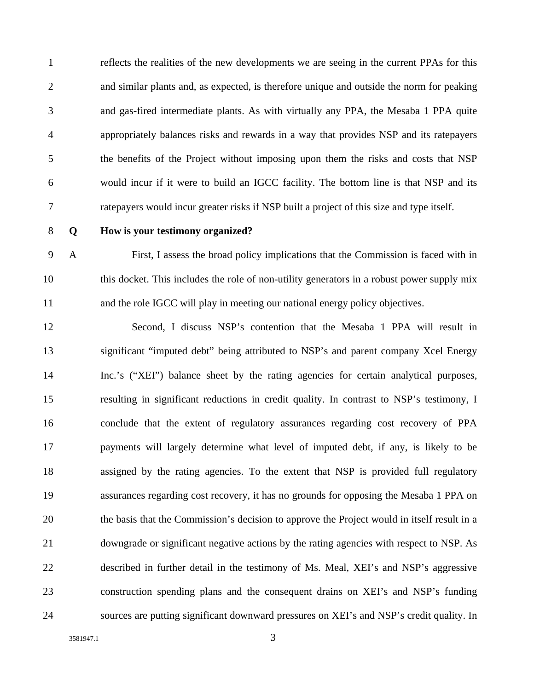1 reflects the realities of the new developments we are seeing in the current PPAs for this 2 and similar plants and, as expected, is therefore unique and outside the norm for peaking 3 and gas-fired intermediate plants. As with virtually any PPA, the Mesaba 1 PPA quite 4 appropriately balances risks and rewards in a way that provides NSP and its ratepayers 5 the benefits of the Project without imposing upon them the risks and costs that NSP 6 would incur if it were to build an IGCC facility. The bottom line is that NSP and its 7 ratepayers would incur greater risks if NSP built a project of this size and type itself.

#### 8 **Q How is your testimony organized?**

9 A First, I assess the broad policy implications that the Commission is faced with in 10 this docket. This includes the role of non-utility generators in a robust power supply mix 11 and the role IGCC will play in meeting our national energy policy objectives.

12 Second, I discuss NSP's contention that the Mesaba 1 PPA will result in 13 significant "imputed debt" being attributed to NSP's and parent company Xcel Energy 14 Inc.'s ("XEI") balance sheet by the rating agencies for certain analytical purposes, 15 resulting in significant reductions in credit quality. In contrast to NSP's testimony, I 16 conclude that the extent of regulatory assurances regarding cost recovery of PPA 17 payments will largely determine what level of imputed debt, if any, is likely to be 18 assigned by the rating agencies. To the extent that NSP is provided full regulatory 19 assurances regarding cost recovery, it has no grounds for opposing the Mesaba 1 PPA on 20 the basis that the Commission's decision to approve the Project would in itself result in a 21 downgrade or significant negative actions by the rating agencies with respect to NSP. As 22 described in further detail in the testimony of Ms. Meal, XEI's and NSP's aggressive 23 construction spending plans and the consequent drains on XEI's and NSP's funding 24 sources are putting significant downward pressures on XEI's and NSP's credit quality. In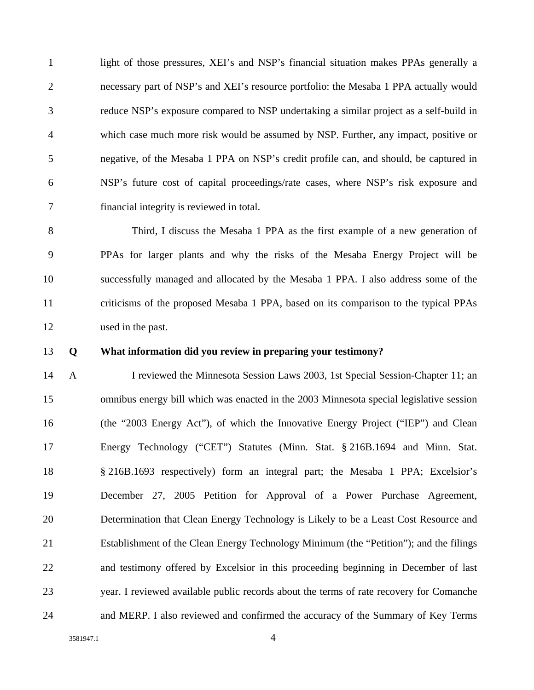1 light of those pressures, XEI's and NSP's financial situation makes PPAs generally a 2 necessary part of NSP's and XEI's resource portfolio: the Mesaba 1 PPA actually would 3 reduce NSP's exposure compared to NSP undertaking a similar project as a self-build in 4 which case much more risk would be assumed by NSP. Further, any impact, positive or 5 negative, of the Mesaba 1 PPA on NSP's credit profile can, and should, be captured in 6 NSP's future cost of capital proceedings/rate cases, where NSP's risk exposure and 7 financial integrity is reviewed in total.

8 Third, I discuss the Mesaba 1 PPA as the first example of a new generation of 9 PPAs for larger plants and why the risks of the Mesaba Energy Project will be 10 successfully managed and allocated by the Mesaba 1 PPA. I also address some of the 11 criticisms of the proposed Mesaba 1 PPA, based on its comparison to the typical PPAs 12 used in the past.

#### 13 **Q What information did you review in preparing your testimony?**

14 A I reviewed the Minnesota Session Laws 2003, 1st Special Session-Chapter 11; an 15 omnibus energy bill which was enacted in the 2003 Minnesota special legislative session 16 (the "2003 Energy Act"), of which the Innovative Energy Project ("IEP") and Clean 17 Energy Technology ("CET") Statutes (Minn. Stat. § 216B.1694 and Minn. Stat. 18 § 216B.1693 respectively) form an integral part; the Mesaba 1 PPA; Excelsior's 19 December 27, 2005 Petition for Approval of a Power Purchase Agreement, 20 Determination that Clean Energy Technology is Likely to be a Least Cost Resource and 21 Establishment of the Clean Energy Technology Minimum (the "Petition"); and the filings 22 and testimony offered by Excelsior in this proceeding beginning in December of last 23 year. I reviewed available public records about the terms of rate recovery for Comanche 24 and MERP. I also reviewed and confirmed the accuracy of the Summary of Key Terms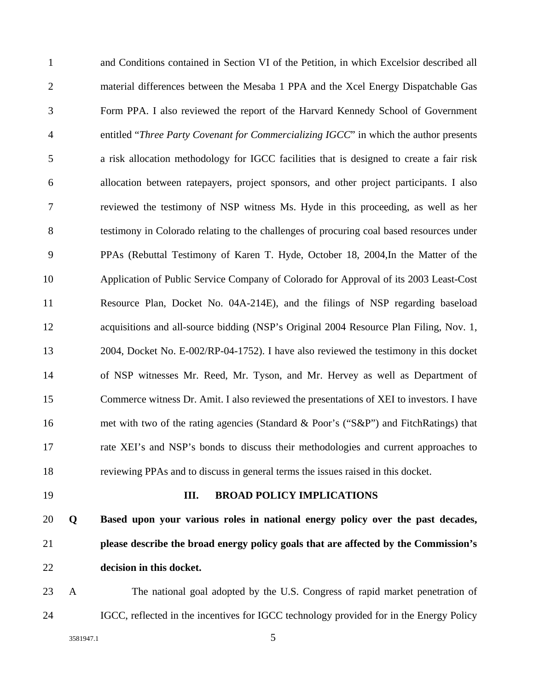1 and Conditions contained in Section VI of the Petition, in which Excelsior described all 2 material differences between the Mesaba 1 PPA and the Xcel Energy Dispatchable Gas 3 Form PPA. I also reviewed the report of the Harvard Kennedy School of Government 4 entitled "*Three Party Covenant for Commercializing IGCC*" in which the author presents 5 a risk allocation methodology for IGCC facilities that is designed to create a fair risk 6 allocation between ratepayers, project sponsors, and other project participants. I also 7 reviewed the testimony of NSP witness Ms. Hyde in this proceeding, as well as her 8 testimony in Colorado relating to the challenges of procuring coal based resources under 9 PPAs (Rebuttal Testimony of Karen T. Hyde, October 18, 2004,In the Matter of the 10 Application of Public Service Company of Colorado for Approval of its 2003 Least-Cost 11 Resource Plan, Docket No. 04A-214E), and the filings of NSP regarding baseload 12 acquisitions and all-source bidding (NSP's Original 2004 Resource Plan Filing, Nov. 1, 13 2004, Docket No. E-002/RP-04-1752). I have also reviewed the testimony in this docket 14 of NSP witnesses Mr. Reed, Mr. Tyson, and Mr. Hervey as well as Department of 15 Commerce witness Dr. Amit. I also reviewed the presentations of XEI to investors. I have 16 met with two of the rating agencies (Standard & Poor's ("S&P") and FitchRatings) that 17 rate XEI's and NSP's bonds to discuss their methodologies and current approaches to 18 reviewing PPAs and to discuss in general terms the issues raised in this docket. 19 **III. BROAD POLICY IMPLICATIONS**  20 **Q Based upon your various roles in national energy policy over the past decades,** 

22 **decision in this docket.**  23 A The national goal adopted by the U.S. Congress of rapid market penetration of

24 IGCC, reflected in the incentives for IGCC technology provided for in the Energy Policy

21 **please describe the broad energy policy goals that are affected by the Commission's**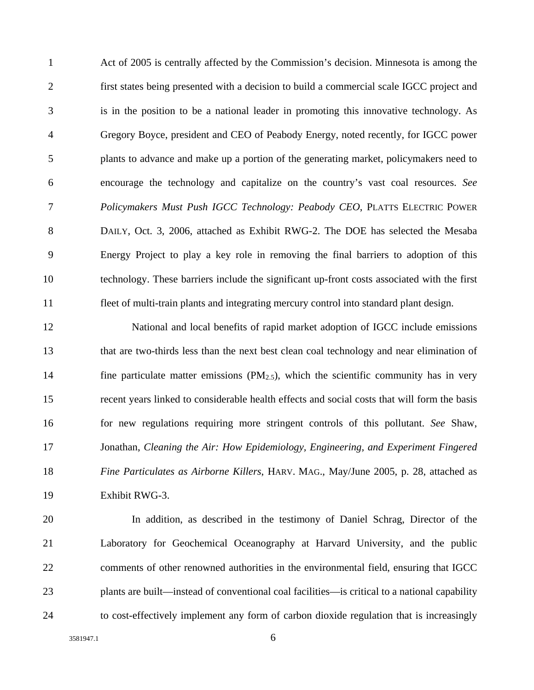1 Act of 2005 is centrally affected by the Commission's decision. Minnesota is among the 2 first states being presented with a decision to build a commercial scale IGCC project and 3 is in the position to be a national leader in promoting this innovative technology. As 4 Gregory Boyce, president and CEO of Peabody Energy, noted recently, for IGCC power 5 plants to advance and make up a portion of the generating market, policymakers need to 6 encourage the technology and capitalize on the country's vast coal resources. *See*  7 *Policymakers Must Push IGCC Technology: Peabody CEO*, PLATTS ELECTRIC POWER 8 DAILY, Oct. 3, 2006, attached as Exhibit RWG-2. The DOE has selected the Mesaba 9 Energy Project to play a key role in removing the final barriers to adoption of this 10 technology. These barriers include the significant up-front costs associated with the first 11 fleet of multi-train plants and integrating mercury control into standard plant design.

12 National and local benefits of rapid market adoption of IGCC include emissions 13 that are two-thirds less than the next best clean coal technology and near elimination of 14 fine particulate matter emissions  $(PM_{2.5})$ , which the scientific community has in very 15 recent years linked to considerable health effects and social costs that will form the basis 16 for new regulations requiring more stringent controls of this pollutant. *See* Shaw, 17 Jonathan, *Cleaning the Air: How Epidemiology, Engineering, and Experiment Fingered*  18 *Fine Particulates as Airborne Killers*, HARV. MAG., May/June 2005, p. 28, attached as 19 Exhibit RWG-3.

20 In addition, as described in the testimony of Daniel Schrag, Director of the 21 Laboratory for Geochemical Oceanography at Harvard University, and the public 22 comments of other renowned authorities in the environmental field, ensuring that IGCC 23 plants are built—instead of conventional coal facilities—is critical to a national capability 24 to cost-effectively implement any form of carbon dioxide regulation that is increasingly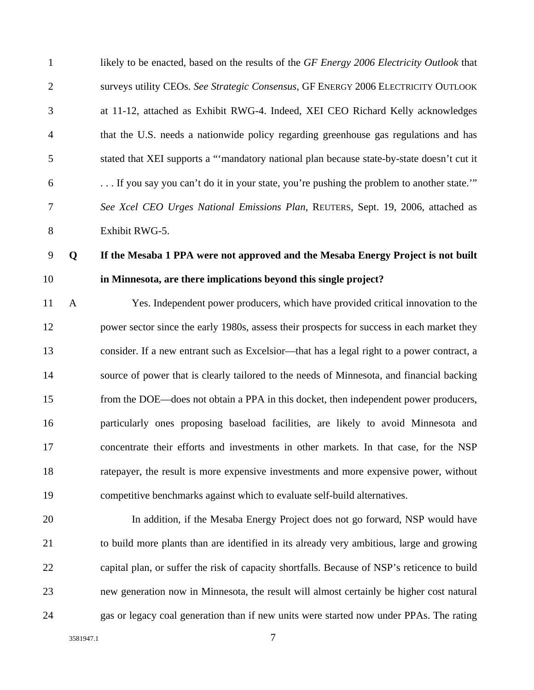1 likely to be enacted, based on the results of the *GF Energy 2006 Electricity Outlook* that 2 surveys utility CEOs. *See Strategic Consensus*, GF ENERGY 2006 ELECTRICITY OUTLOOK 3 at 11-12, attached as Exhibit RWG-4. Indeed, XEI CEO Richard Kelly acknowledges 4 that the U.S. needs a nationwide policy regarding greenhouse gas regulations and has 5 stated that XEI supports a "'mandatory national plan because state-by-state doesn't cut it 6 . . . If you say you can't do it in your state, you're pushing the problem to another state.'" 7 *See Xcel CEO Urges National Emissions Plan*, REUTERS, Sept. 19, 2006, attached as 8 Exhibit RWG-5.

### 9 **Q If the Mesaba 1 PPA were not approved and the Mesaba Energy Project is not built**

### 10 **in Minnesota, are there implications beyond this single project?**

11 A Yes. Independent power producers, which have provided critical innovation to the 12 power sector since the early 1980s, assess their prospects for success in each market they 13 consider. If a new entrant such as Excelsior—that has a legal right to a power contract, a 14 source of power that is clearly tailored to the needs of Minnesota, and financial backing 15 from the DOE—does not obtain a PPA in this docket, then independent power producers, 16 particularly ones proposing baseload facilities, are likely to avoid Minnesota and 17 concentrate their efforts and investments in other markets. In that case, for the NSP 18 ratepayer, the result is more expensive investments and more expensive power, without 19 competitive benchmarks against which to evaluate self-build alternatives.

20 In addition, if the Mesaba Energy Project does not go forward, NSP would have 21 to build more plants than are identified in its already very ambitious, large and growing 22 capital plan, or suffer the risk of capacity shortfalls. Because of NSP's reticence to build 23 new generation now in Minnesota, the result will almost certainly be higher cost natural 24 gas or legacy coal generation than if new units were started now under PPAs. The rating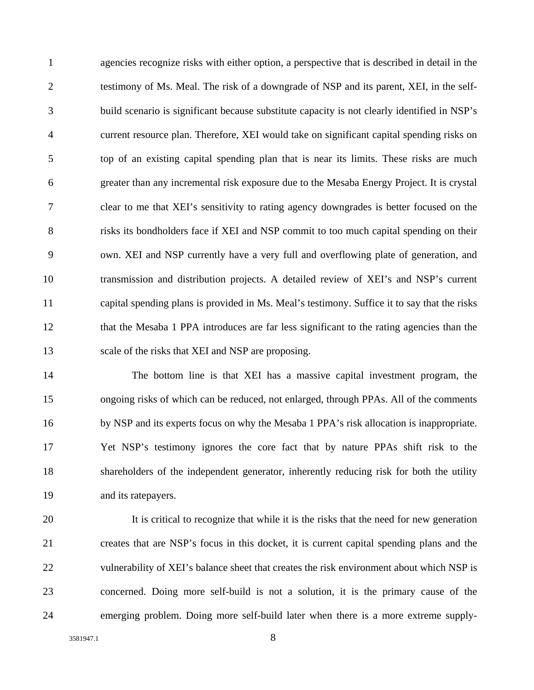1 agencies recognize risks with either option, a perspective that is described in detail in the 2 testimony of Ms. Meal. The risk of a downgrade of NSP and its parent, XEI, in the self-3 build scenario is significant because substitute capacity is not clearly identified in NSP's 4 current resource plan. Therefore, XEI would take on significant capital spending risks on 5 top of an existing capital spending plan that is near its limits. These risks are much 6 greater than any incremental risk exposure due to the Mesaba Energy Project. It is crystal 7 clear to me that XEI's sensitivity to rating agency downgrades is better focused on the 8 risks its bondholders face if XEI and NSP commit to too much capital spending on their 9 own. XEI and NSP currently have a very full and overflowing plate of generation, and 10 transmission and distribution projects. A detailed review of XEI's and NSP's current 11 capital spending plans is provided in Ms. Meal's testimony. Suffice it to say that the risks 12 that the Mesaba 1 PPA introduces are far less significant to the rating agencies than the 13 scale of the risks that XEI and NSP are proposing.

14 The bottom line is that XEI has a massive capital investment program, the 15 ongoing risks of which can be reduced, not enlarged, through PPAs. All of the comments 16 by NSP and its experts focus on why the Mesaba 1 PPA's risk allocation is inappropriate. 17 Yet NSP's testimony ignores the core fact that by nature PPAs shift risk to the 18 shareholders of the independent generator, inherently reducing risk for both the utility 19 and its ratepayers.

20 It is critical to recognize that while it is the risks that the need for new generation 21 creates that are NSP's focus in this docket, it is current capital spending plans and the 22 vulnerability of XEI's balance sheet that creates the risk environment about which NSP is 23 concerned. Doing more self-build is not a solution, it is the primary cause of the 24 emerging problem. Doing more self-build later when there is a more extreme supply-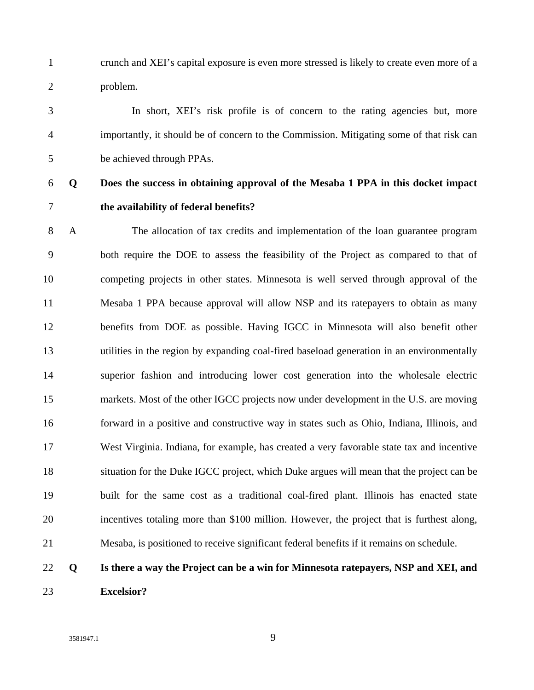1 crunch and XEI's capital exposure is even more stressed is likely to create even more of a 2 problem.

3 In short, XEI's risk profile is of concern to the rating agencies but, more 4 importantly, it should be of concern to the Commission. Mitigating some of that risk can 5 be achieved through PPAs.

### 6 **Q Does the success in obtaining approval of the Mesaba 1 PPA in this docket impact**  7 **the availability of federal benefits?**

8 A The allocation of tax credits and implementation of the loan guarantee program 9 both require the DOE to assess the feasibility of the Project as compared to that of 10 competing projects in other states. Minnesota is well served through approval of the 11 Mesaba 1 PPA because approval will allow NSP and its ratepayers to obtain as many 12 benefits from DOE as possible. Having IGCC in Minnesota will also benefit other 13 utilities in the region by expanding coal-fired baseload generation in an environmentally 14 superior fashion and introducing lower cost generation into the wholesale electric 15 markets. Most of the other IGCC projects now under development in the U.S. are moving 16 forward in a positive and constructive way in states such as Ohio, Indiana, Illinois, and 17 West Virginia. Indiana, for example, has created a very favorable state tax and incentive 18 situation for the Duke IGCC project, which Duke argues will mean that the project can be 19 built for the same cost as a traditional coal-fired plant. Illinois has enacted state 20 incentives totaling more than \$100 million. However, the project that is furthest along, 21 Mesaba, is positioned to receive significant federal benefits if it remains on schedule.

## 22 **Q Is there a way the Project can be a win for Minnesota ratepayers, NSP and XEI, and**  23 **Excelsior?**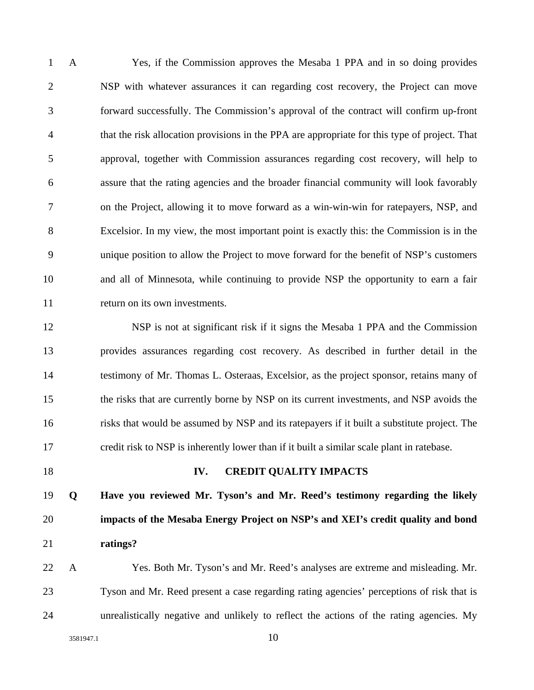1 A Yes, if the Commission approves the Mesaba 1 PPA and in so doing provides 2 NSP with whatever assurances it can regarding cost recovery, the Project can move 3 forward successfully. The Commission's approval of the contract will confirm up-front 4 that the risk allocation provisions in the PPA are appropriate for this type of project. That 5 approval, together with Commission assurances regarding cost recovery, will help to 6 assure that the rating agencies and the broader financial community will look favorably 7 on the Project, allowing it to move forward as a win-win-win for ratepayers, NSP, and 8 Excelsior. In my view, the most important point is exactly this: the Commission is in the 9 unique position to allow the Project to move forward for the benefit of NSP's customers 10 and all of Minnesota, while continuing to provide NSP the opportunity to earn a fair 11 return on its own investments.

12 NSP is not at significant risk if it signs the Mesaba 1 PPA and the Commission 13 provides assurances regarding cost recovery. As described in further detail in the 14 testimony of Mr. Thomas L. Osteraas, Excelsior, as the project sponsor, retains many of 15 the risks that are currently borne by NSP on its current investments, and NSP avoids the 16 risks that would be assumed by NSP and its ratepayers if it built a substitute project. The 17 credit risk to NSP is inherently lower than if it built a similar scale plant in ratebase.

#### 18 **IV. CREDIT QUALITY IMPACTS**

19 **Q Have you reviewed Mr. Tyson's and Mr. Reed's testimony regarding the likely**  20 **impacts of the Mesaba Energy Project on NSP's and XEI's credit quality and bond**  21 **ratings?** 

22 A Yes. Both Mr. Tyson's and Mr. Reed's analyses are extreme and misleading. Mr. 23 Tyson and Mr. Reed present a case regarding rating agencies' perceptions of risk that is 24 unrealistically negative and unlikely to reflect the actions of the rating agencies. My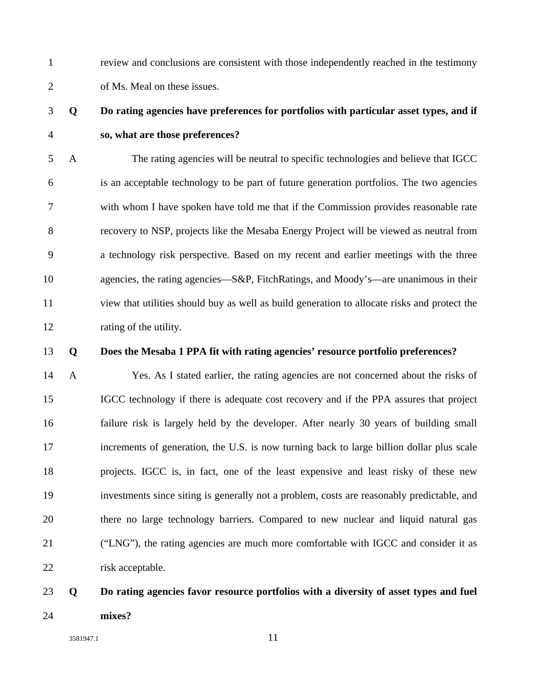1 review and conclusions are consistent with those independently reached in the testimony 2 of Ms. Meal on these issues.

### 3 **Q Do rating agencies have preferences for portfolios with particular asset types, and if**  4 **so, what are those preferences?**

5 A The rating agencies will be neutral to specific technologies and believe that IGCC 6 is an acceptable technology to be part of future generation portfolios. The two agencies 7 with whom I have spoken have told me that if the Commission provides reasonable rate 8 recovery to NSP, projects like the Mesaba Energy Project will be viewed as neutral from 9 a technology risk perspective. Based on my recent and earlier meetings with the three 10 agencies, the rating agencies—S&P, FitchRatings, and Moody's—are unanimous in their 11 view that utilities should buy as well as build generation to allocate risks and protect the 12 rating of the utility.

#### 13 **Q Does the Mesaba 1 PPA fit with rating agencies' resource portfolio preferences?**

14 A Yes. As I stated earlier, the rating agencies are not concerned about the risks of 15 IGCC technology if there is adequate cost recovery and if the PPA assures that project 16 failure risk is largely held by the developer. After nearly 30 years of building small 17 increments of generation, the U.S. is now turning back to large billion dollar plus scale 18 projects. IGCC is, in fact, one of the least expensive and least risky of these new 19 investments since siting is generally not a problem, costs are reasonably predictable, and 20 there no large technology barriers. Compared to new nuclear and liquid natural gas 21 ("LNG"), the rating agencies are much more comfortable with IGCC and consider it as 22 risk acceptable.

# 23 **Q Do rating agencies favor resource portfolios with a diversity of asset types and fuel**  24 **mixes?**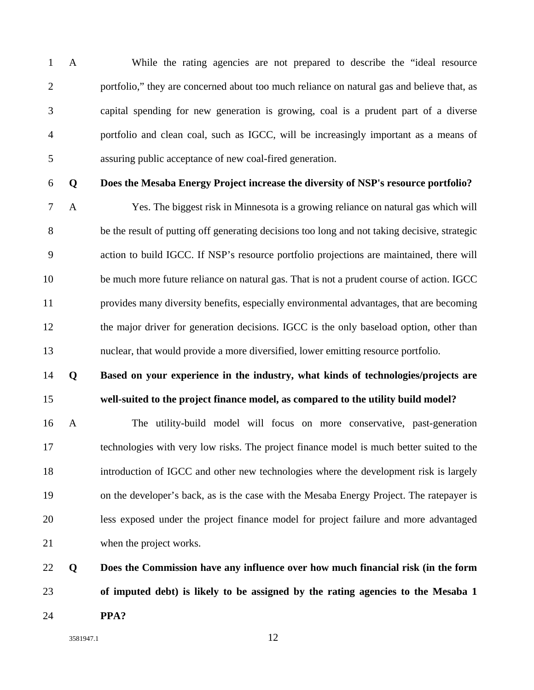1 A While the rating agencies are not prepared to describe the "ideal resource 2 portfolio," they are concerned about too much reliance on natural gas and believe that, as 3 capital spending for new generation is growing, coal is a prudent part of a diverse 4 portfolio and clean coal, such as IGCC, will be increasingly important as a means of 5 assuring public acceptance of new coal-fired generation.

#### 6 **Q Does the Mesaba Energy Project increase the diversity of NSP's resource portfolio?**

7 A Yes. The biggest risk in Minnesota is a growing reliance on natural gas which will 8 be the result of putting off generating decisions too long and not taking decisive, strategic 9 action to build IGCC. If NSP's resource portfolio projections are maintained, there will 10 be much more future reliance on natural gas. That is not a prudent course of action. IGCC 11 provides many diversity benefits, especially environmental advantages, that are becoming 12 the major driver for generation decisions. IGCC is the only baseload option, other than 13 nuclear, that would provide a more diversified, lower emitting resource portfolio.

### 14 **Q Based on your experience in the industry, what kinds of technologies/projects are**  15 **well-suited to the project finance model, as compared to the utility build model?**

16 A The utility-build model will focus on more conservative, past-generation 17 technologies with very low risks. The project finance model is much better suited to the 18 introduction of IGCC and other new technologies where the development risk is largely 19 on the developer's back, as is the case with the Mesaba Energy Project. The ratepayer is 20 less exposed under the project finance model for project failure and more advantaged 21 when the project works.

# 22 **Q Does the Commission have any influence over how much financial risk (in the form**  23 **of imputed debt) is likely to be assigned by the rating agencies to the Mesaba 1**  24 **PPA?**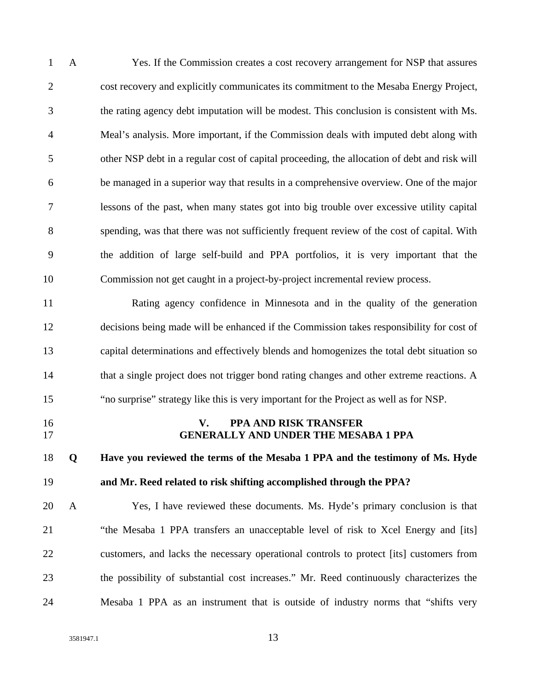1 A Yes. If the Commission creates a cost recovery arrangement for NSP that assures 2 cost recovery and explicitly communicates its commitment to the Mesaba Energy Project, 3 the rating agency debt imputation will be modest. This conclusion is consistent with Ms. 4 Meal's analysis. More important, if the Commission deals with imputed debt along with 5 other NSP debt in a regular cost of capital proceeding, the allocation of debt and risk will 6 be managed in a superior way that results in a comprehensive overview. One of the major 7 lessons of the past, when many states got into big trouble over excessive utility capital 8 spending, was that there was not sufficiently frequent review of the cost of capital. With 9 the addition of large self-build and PPA portfolios, it is very important that the 10 Commission not get caught in a project-by-project incremental review process. 11 Rating agency confidence in Minnesota and in the quality of the generation 12 decisions being made will be enhanced if the Commission takes responsibility for cost of 13 capital determinations and effectively blends and homogenizes the total debt situation so 14 that a single project does not trigger bond rating changes and other extreme reactions. A 15 "no surprise" strategy like this is very important for the Project as well as for NSP. 16 **V. PPA AND RISK TRANSFER**  17 **GENERALLY AND UNDER THE MESABA 1 PPA**  18 **Q Have you reviewed the terms of the Mesaba 1 PPA and the testimony of Ms. Hyde**  19 **and Mr. Reed related to risk shifting accomplished through the PPA?**  20 A Yes, I have reviewed these documents. Ms. Hyde's primary conclusion is that 21 "the Mesaba 1 PPA transfers an unacceptable level of risk to Xcel Energy and [its] 22 customers, and lacks the necessary operational controls to protect [its] customers from 23 the possibility of substantial cost increases." Mr. Reed continuously characterizes the 24 Mesaba 1 PPA as an instrument that is outside of industry norms that "shifts very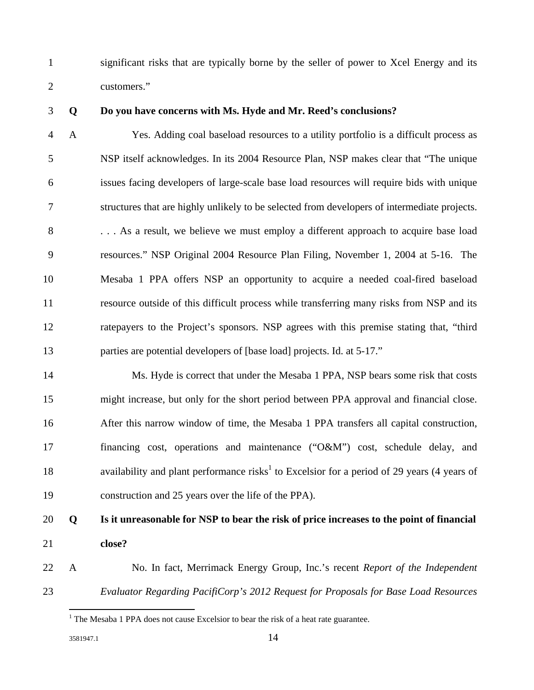1 significant risks that are typically borne by the seller of power to Xcel Energy and its 2 customers."

#### 3 **Q Do you have concerns with Ms. Hyde and Mr. Reed's conclusions?**

4 A Yes. Adding coal baseload resources to a utility portfolio is a difficult process as 5 NSP itself acknowledges. In its 2004 Resource Plan, NSP makes clear that "The unique 6 issues facing developers of large-scale base load resources will require bids with unique 7 structures that are highly unlikely to be selected from developers of intermediate projects. 8 . . . As a result, we believe we must employ a different approach to acquire base load 9 resources." NSP Original 2004 Resource Plan Filing, November 1, 2004 at 5-16. The 10 Mesaba 1 PPA offers NSP an opportunity to acquire a needed coal-fired baseload 11 resource outside of this difficult process while transferring many risks from NSP and its 12 ratepayers to the Project's sponsors. NSP agrees with this premise stating that, "third 13 parties are potential developers of [base load] projects. Id. at 5-17."

14 Ms. Hyde is correct that under the Mesaba 1 PPA, NSP bears some risk that costs 15 might increase, but only for the short period between PPA approval and financial close. 16 After this narrow window of time, the Mesaba 1 PPA transfers all capital construction, 17 financing cost, operations and maintenance ("O&M") cost, schedule delay, and 18 availability and plant performance risks<sup>1</sup> to Excelsior for a period of 29 years (4 years of 19 construction and 25 years over the life of the PPA).

### 20 **Q Is it unreasonable for NSP to bear the risk of price increases to the point of financial**  21 **close?**

22 A No. In fact, Merrimack Energy Group, Inc.'s recent *Report of the Independent*  23 *Evaluator Regarding PacifiCorp's 2012 Request for Proposals for Base Load Resources*

<sup>&</sup>lt;sup>1</sup> The Mesaba 1 PPA does not cause Excelsior to bear the risk of a heat rate guarantee.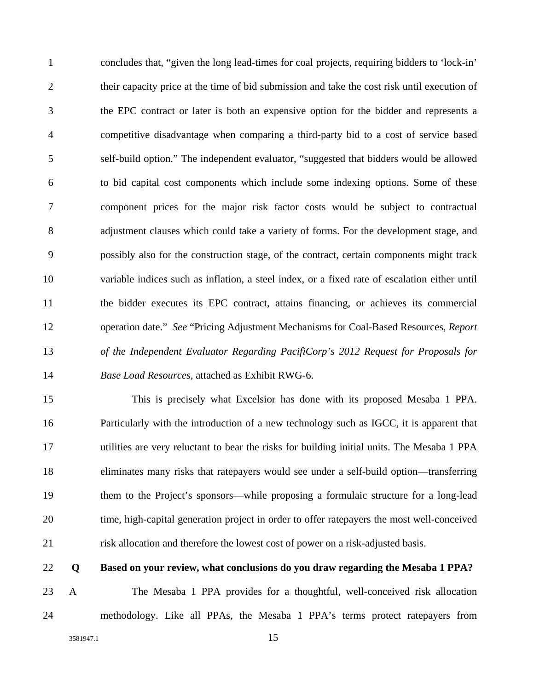1 concludes that, "given the long lead-times for coal projects, requiring bidders to 'lock-in' 2 their capacity price at the time of bid submission and take the cost risk until execution of 3 the EPC contract or later is both an expensive option for the bidder and represents a 4 competitive disadvantage when comparing a third-party bid to a cost of service based 5 self-build option." The independent evaluator, "suggested that bidders would be allowed 6 to bid capital cost components which include some indexing options. Some of these 7 component prices for the major risk factor costs would be subject to contractual 8 adjustment clauses which could take a variety of forms. For the development stage, and 9 possibly also for the construction stage, of the contract, certain components might track 10 variable indices such as inflation, a steel index, or a fixed rate of escalation either until 11 the bidder executes its EPC contract, attains financing, or achieves its commercial 12 operation date." *See* "Pricing Adjustment Mechanisms for Coal-Based Resources, *Report*  13 *of the Independent Evaluator Regarding PacifiCorp's 2012 Request for Proposals for*  14 *Base Load Resources,* attached as Exhibit RWG-6.

15 This is precisely what Excelsior has done with its proposed Mesaba 1 PPA. 16 Particularly with the introduction of a new technology such as IGCC, it is apparent that 17 utilities are very reluctant to bear the risks for building initial units. The Mesaba 1 PPA 18 eliminates many risks that ratepayers would see under a self-build option—transferring 19 them to the Project's sponsors—while proposing a formulaic structure for a long-lead 20 time, high-capital generation project in order to offer ratepayers the most well-conceived 21 risk allocation and therefore the lowest cost of power on a risk-adjusted basis.

22 **Q Based on your review, what conclusions do you draw regarding the Mesaba 1 PPA?** 

23 A The Mesaba 1 PPA provides for a thoughtful, well-conceived risk allocation 24 methodology. Like all PPAs, the Mesaba 1 PPA's terms protect ratepayers from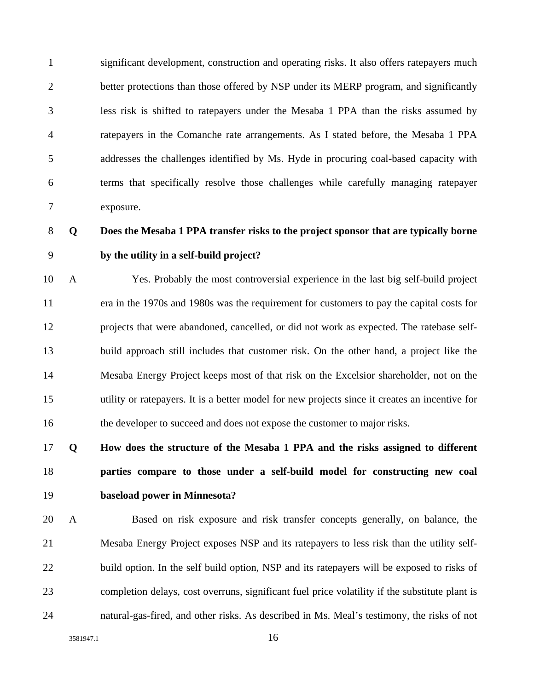1 significant development, construction and operating risks. It also offers ratepayers much 2 better protections than those offered by NSP under its MERP program, and significantly 3 less risk is shifted to ratepayers under the Mesaba 1 PPA than the risks assumed by 4 ratepayers in the Comanche rate arrangements. As I stated before, the Mesaba 1 PPA 5 addresses the challenges identified by Ms. Hyde in procuring coal-based capacity with 6 terms that specifically resolve those challenges while carefully managing ratepayer 7 exposure.

# 8 **Q Does the Mesaba 1 PPA transfer risks to the project sponsor that are typically borne**  9 **by the utility in a self-build project?**

10 A Yes. Probably the most controversial experience in the last big self-build project 11 era in the 1970s and 1980s was the requirement for customers to pay the capital costs for 12 projects that were abandoned, cancelled, or did not work as expected. The ratebase self-13 build approach still includes that customer risk. On the other hand, a project like the 14 Mesaba Energy Project keeps most of that risk on the Excelsior shareholder, not on the 15 utility or ratepayers. It is a better model for new projects since it creates an incentive for 16 the developer to succeed and does not expose the customer to major risks.

# 17 **Q How does the structure of the Mesaba 1 PPA and the risks assigned to different**  18 **parties compare to those under a self-build model for constructing new coal**  19 **baseload power in Minnesota?**

20 A Based on risk exposure and risk transfer concepts generally, on balance, the 21 Mesaba Energy Project exposes NSP and its ratepayers to less risk than the utility self-22 build option. In the self build option, NSP and its ratepayers will be exposed to risks of 23 completion delays, cost overruns, significant fuel price volatility if the substitute plant is 24 natural-gas-fired, and other risks. As described in Ms. Meal's testimony, the risks of not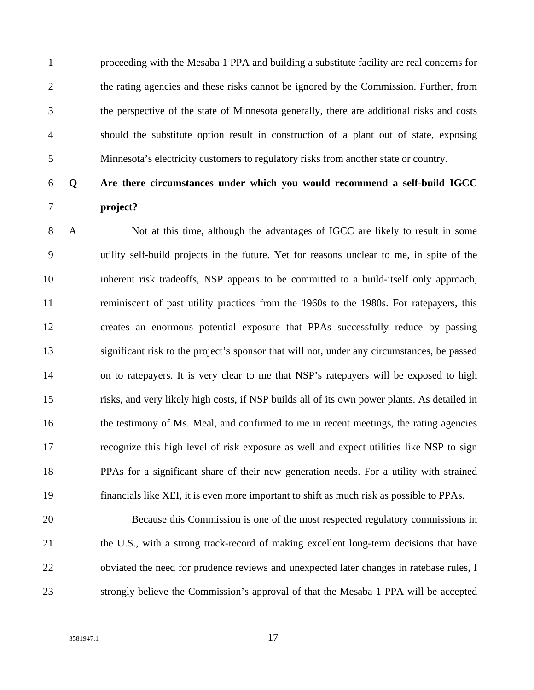1 proceeding with the Mesaba 1 PPA and building a substitute facility are real concerns for 2 the rating agencies and these risks cannot be ignored by the Commission. Further, from 3 the perspective of the state of Minnesota generally, there are additional risks and costs 4 should the substitute option result in construction of a plant out of state, exposing 5 Minnesota's electricity customers to regulatory risks from another state or country.

### 6 **Q Are there circumstances under which you would recommend a self-build IGCC**  7 **project?**

8 A Not at this time, although the advantages of IGCC are likely to result in some 9 utility self-build projects in the future. Yet for reasons unclear to me, in spite of the 10 inherent risk tradeoffs, NSP appears to be committed to a build-itself only approach, 11 reminiscent of past utility practices from the 1960s to the 1980s. For ratepayers, this 12 creates an enormous potential exposure that PPAs successfully reduce by passing 13 significant risk to the project's sponsor that will not, under any circumstances, be passed 14 on to ratepayers. It is very clear to me that NSP's ratepayers will be exposed to high 15 risks, and very likely high costs, if NSP builds all of its own power plants. As detailed in 16 the testimony of Ms. Meal, and confirmed to me in recent meetings, the rating agencies 17 recognize this high level of risk exposure as well and expect utilities like NSP to sign 18 PPAs for a significant share of their new generation needs. For a utility with strained 19 financials like XEI, it is even more important to shift as much risk as possible to PPAs.

20 Because this Commission is one of the most respected regulatory commissions in 21 the U.S., with a strong track-record of making excellent long-term decisions that have 22 obviated the need for prudence reviews and unexpected later changes in ratebase rules, I 23 strongly believe the Commission's approval of that the Mesaba 1 PPA will be accepted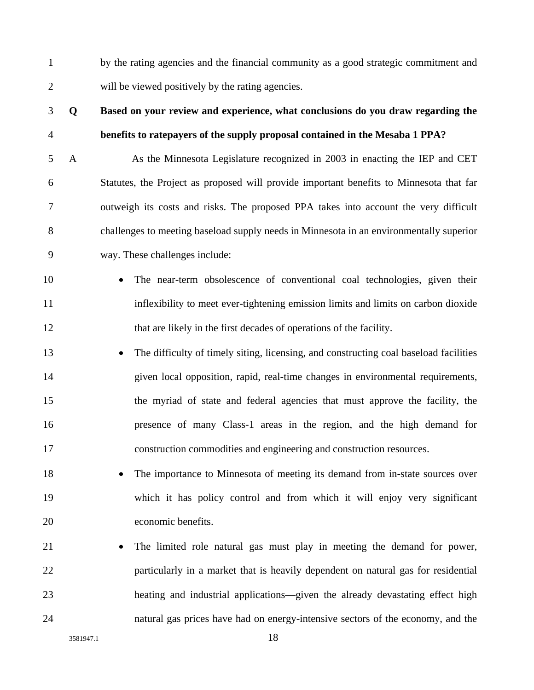1 by the rating agencies and the financial community as a good strategic commitment and 2 will be viewed positively by the rating agencies.

# 3 **Q Based on your review and experience, what conclusions do you draw regarding the**  4 **benefits to ratepayers of the supply proposal contained in the Mesaba 1 PPA?**

5 A As the Minnesota Legislature recognized in 2003 in enacting the IEP and CET 6 Statutes, the Project as proposed will provide important benefits to Minnesota that far 7 outweigh its costs and risks. The proposed PPA takes into account the very difficult 8 challenges to meeting baseload supply needs in Minnesota in an environmentally superior 9 way. These challenges include:

- 10 The near-term obsolescence of conventional coal technologies, given their 11 inflexibility to meet ever-tightening emission limits and limits on carbon dioxide 12 that are likely in the first decades of operations of the facility.
- 13 The difficulty of timely siting, licensing, and constructing coal baseload facilities 14 given local opposition, rapid, real-time changes in environmental requirements, 15 the myriad of state and federal agencies that must approve the facility, the 16 presence of many Class-1 areas in the region, and the high demand for 17 construction commodities and engineering and construction resources.
- 18 The importance to Minnesota of meeting its demand from in-state sources over 19 which it has policy control and from which it will enjoy very significant 20 economic benefits.
- 21 The limited role natural gas must play in meeting the demand for power, 22 particularly in a market that is heavily dependent on natural gas for residential 23 heating and industrial applications—given the already devastating effect high 24 natural gas prices have had on energy-intensive sectors of the economy, and the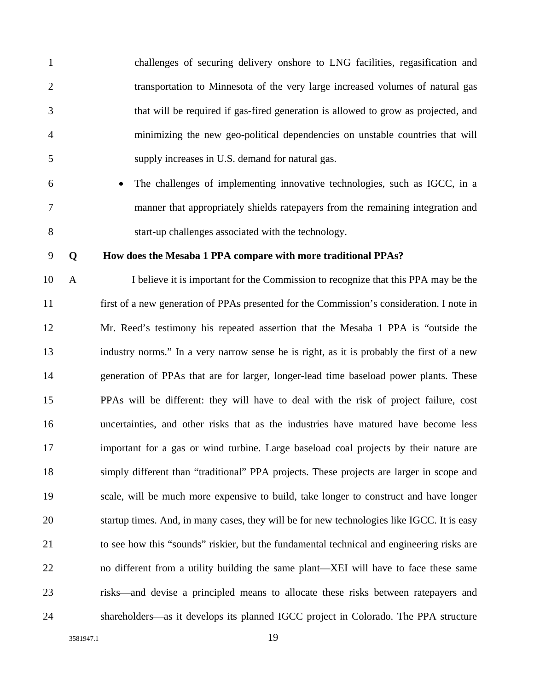1 challenges of securing delivery onshore to LNG facilities, regasification and 2 transportation to Minnesota of the very large increased volumes of natural gas 3 that will be required if gas-fired generation is allowed to grow as projected, and 4 minimizing the new geo-political dependencies on unstable countries that will 5 supply increases in U.S. demand for natural gas. 6 • The challenges of implementing innovative technologies, such as IGCC, in a 7 manner that appropriately shields ratepayers from the remaining integration and 8 start-up challenges associated with the technology. 9 **Q How does the Mesaba 1 PPA compare with more traditional PPAs?**  10 A I believe it is important for the Commission to recognize that this PPA may be the 11 first of a new generation of PPAs presented for the Commission's consideration. I note in

12 Mr. Reed's testimony his repeated assertion that the Mesaba 1 PPA is "outside the 13 industry norms." In a very narrow sense he is right, as it is probably the first of a new 14 generation of PPAs that are for larger, longer-lead time baseload power plants. These 15 PPAs will be different: they will have to deal with the risk of project failure, cost 16 uncertainties, and other risks that as the industries have matured have become less 17 important for a gas or wind turbine. Large baseload coal projects by their nature are 18 simply different than "traditional" PPA projects. These projects are larger in scope and 19 scale, will be much more expensive to build, take longer to construct and have longer 20 startup times. And, in many cases, they will be for new technologies like IGCC. It is easy 21 to see how this "sounds" riskier, but the fundamental technical and engineering risks are 22 no different from a utility building the same plant—XEI will have to face these same 23 risks—and devise a principled means to allocate these risks between ratepayers and 24 shareholders—as it develops its planned IGCC project in Colorado. The PPA structure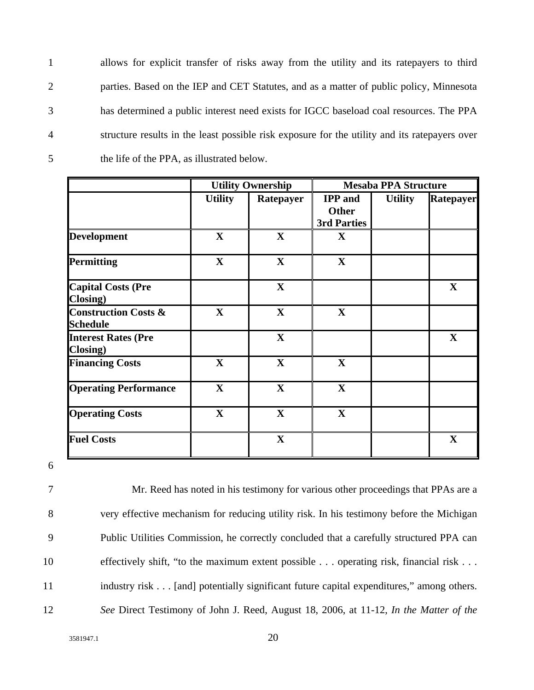1 allows for explicit transfer of risks away from the utility and its ratepayers to third 2 parties. Based on the IEP and CET Statutes, and as a matter of public policy, Minnesota 3 has determined a public interest need exists for IGCC baseload coal resources. The PPA 4 structure results in the least possible risk exposure for the utility and its ratepayers over 5 the life of the PPA, as illustrated below.

|                                                    | <b>Utility Ownership</b> |              | <b>Mesaba PPA Structure</b>                   |                |             |
|----------------------------------------------------|--------------------------|--------------|-----------------------------------------------|----------------|-------------|
|                                                    | <b>Utility</b>           | Ratepayer    | <b>IPP</b> and<br><b>Other</b><br>3rd Parties | <b>Utility</b> | Ratepayer   |
| <b>Development</b>                                 | $\mathbf X$              | $\mathbf X$  | $\mathbf{X}$                                  |                |             |
| <b>Permitting</b>                                  | $\mathbf X$              | $\mathbf X$  | $\mathbf X$                                   |                |             |
| <b>Capital Costs (Pre</b><br>Closing)              |                          | $\mathbf X$  |                                               |                | $\mathbf X$ |
| <b>Construction Costs &amp;</b><br><b>Schedule</b> | $\mathbf X$              | $\mathbf{X}$ | $\mathbf{X}$                                  |                |             |
| <b>Interest Rates (Pre</b><br>Closing)             |                          | $\mathbf X$  |                                               |                | $\mathbf X$ |
| <b>Financing Costs</b>                             | $\mathbf{X}$             | $\mathbf{X}$ | $\mathbf X$                                   |                |             |
| <b>Operating Performance</b>                       | $\mathbf X$              | $\mathbf X$  | $\mathbf X$                                   |                |             |
| <b>Operating Costs</b>                             | $\mathbf{X}$             | $\mathbf X$  | $\mathbf X$                                   |                |             |
| <b>Fuel Costs</b>                                  |                          | $\mathbf X$  |                                               |                | $\mathbf X$ |

6

7 Mr. Reed has noted in his testimony for various other proceedings that PPAs are a 8 very effective mechanism for reducing utility risk. In his testimony before the Michigan 9 Public Utilities Commission, he correctly concluded that a carefully structured PPA can 10 effectively shift, "to the maximum extent possible . . . operating risk, financial risk . . . 11 industry risk . . . [and] potentially significant future capital expenditures," among others. 12 *See* Direct Testimony of John J. Reed, August 18, 2006, at 11-12, *In the Matter of the*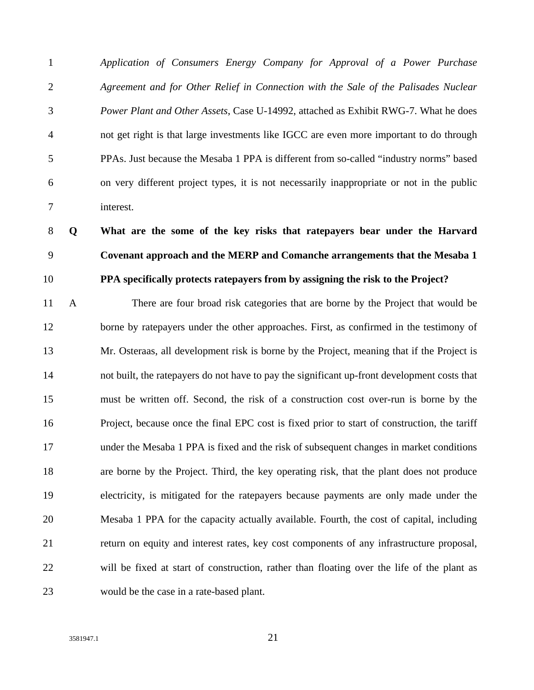1 *Application of Consumers Energy Company for Approval of a Power Purchase*  2 *Agreement and for Other Relief in Connection with the Sale of the Palisades Nuclear*  3 *Power Plant and Other Assets*, Case U-14992, attached as Exhibit RWG-7. What he does 4 not get right is that large investments like IGCC are even more important to do through 5 PPAs. Just because the Mesaba 1 PPA is different from so-called "industry norms" based 6 on very different project types, it is not necessarily inappropriate or not in the public 7 interest.

8 **Q What are the some of the key risks that ratepayers bear under the Harvard**  9 **Covenant approach and the MERP and Comanche arrangements that the Mesaba 1**  10 **PPA specifically protects ratepayers from by assigning the risk to the Project?** 

11 A There are four broad risk categories that are borne by the Project that would be 12 borne by ratepayers under the other approaches. First, as confirmed in the testimony of 13 Mr. Osteraas, all development risk is borne by the Project, meaning that if the Project is 14 not built, the ratepayers do not have to pay the significant up-front development costs that 15 must be written off. Second, the risk of a construction cost over-run is borne by the 16 Project, because once the final EPC cost is fixed prior to start of construction, the tariff 17 under the Mesaba 1 PPA is fixed and the risk of subsequent changes in market conditions 18 are borne by the Project. Third, the key operating risk, that the plant does not produce 19 electricity, is mitigated for the ratepayers because payments are only made under the 20 Mesaba 1 PPA for the capacity actually available. Fourth, the cost of capital, including 21 return on equity and interest rates, key cost components of any infrastructure proposal, 22 will be fixed at start of construction, rather than floating over the life of the plant as 23 would be the case in a rate-based plant.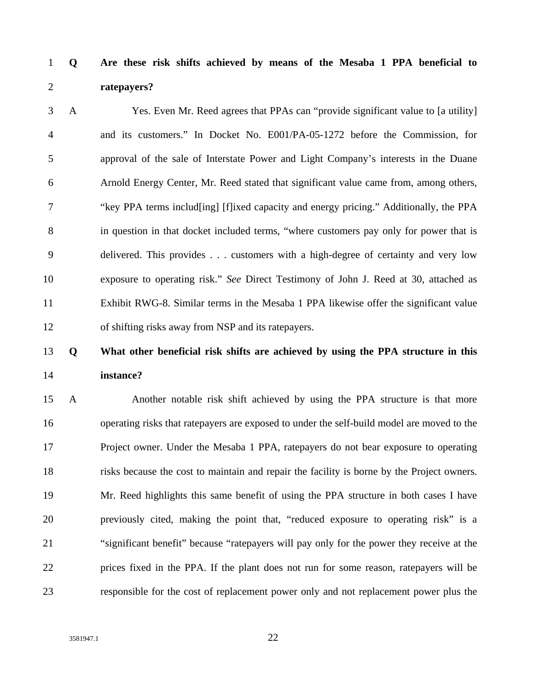1 **Q Are these risk shifts achieved by means of the Mesaba 1 PPA beneficial to**  2 **ratepayers?** 

3 A Yes. Even Mr. Reed agrees that PPAs can "provide significant value to [a utility] 4 and its customers." In Docket No. E001/PA-05-1272 before the Commission, for 5 approval of the sale of Interstate Power and Light Company's interests in the Duane 6 Arnold Energy Center, Mr. Reed stated that significant value came from, among others, 7 "key PPA terms includ[ing] [f]ixed capacity and energy pricing." Additionally, the PPA 8 in question in that docket included terms, "where customers pay only for power that is 9 delivered. This provides . . . customers with a high-degree of certainty and very low 10 exposure to operating risk." *See* Direct Testimony of John J. Reed at 30, attached as 11 Exhibit RWG-8. Similar terms in the Mesaba 1 PPA likewise offer the significant value 12 of shifting risks away from NSP and its ratepayers.

# 13 **Q What other beneficial risk shifts are achieved by using the PPA structure in this**  14 **instance?**

15 A Another notable risk shift achieved by using the PPA structure is that more 16 operating risks that ratepayers are exposed to under the self-build model are moved to the 17 Project owner. Under the Mesaba 1 PPA, ratepayers do not bear exposure to operating 18 risks because the cost to maintain and repair the facility is borne by the Project owners. 19 Mr. Reed highlights this same benefit of using the PPA structure in both cases I have 20 previously cited, making the point that, "reduced exposure to operating risk" is a 21 "significant benefit" because "ratepayers will pay only for the power they receive at the 22 prices fixed in the PPA. If the plant does not run for some reason, ratepayers will be 23 responsible for the cost of replacement power only and not replacement power plus the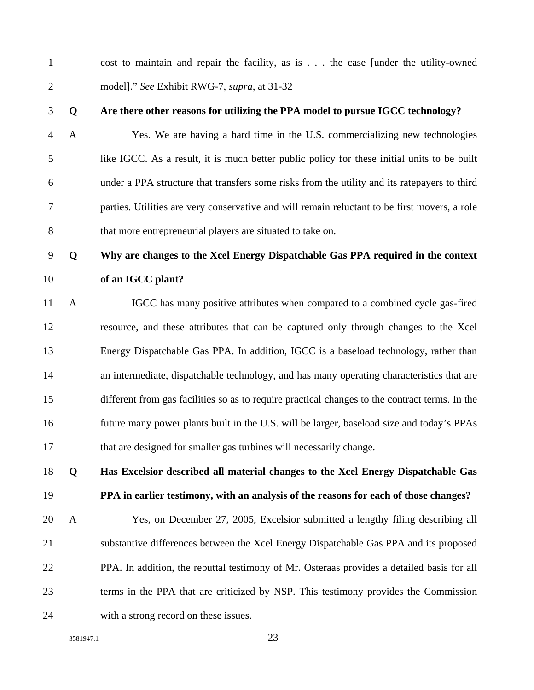1 cost to maintain and repair the facility, as is . . . the case [under the utility-owned 2 model]." *See* Exhibit RWG-7, *supra*, at 31-32

#### 3 **Q Are there other reasons for utilizing the PPA model to pursue IGCC technology?**

4 A Yes. We are having a hard time in the U.S. commercializing new technologies 5 like IGCC. As a result, it is much better public policy for these initial units to be built 6 under a PPA structure that transfers some risks from the utility and its ratepayers to third 7 parties. Utilities are very conservative and will remain reluctant to be first movers, a role 8 that more entrepreneurial players are situated to take on.

### 9 **Q Why are changes to the Xcel Energy Dispatchable Gas PPA required in the context**  10 **of an IGCC plant?**

11 A IGCC has many positive attributes when compared to a combined cycle gas-fired 12 resource, and these attributes that can be captured only through changes to the Xcel 13 Energy Dispatchable Gas PPA. In addition, IGCC is a baseload technology, rather than 14 an intermediate, dispatchable technology, and has many operating characteristics that are 15 different from gas facilities so as to require practical changes to the contract terms. In the 16 future many power plants built in the U.S. will be larger, baseload size and today's PPAs 17 that are designed for smaller gas turbines will necessarily change.

# 18 **Q Has Excelsior described all material changes to the Xcel Energy Dispatchable Gas**  19 **PPA in earlier testimony, with an analysis of the reasons for each of those changes?**

20 A Yes, on December 27, 2005, Excelsior submitted a lengthy filing describing all 21 substantive differences between the Xcel Energy Dispatchable Gas PPA and its proposed 22 PPA. In addition, the rebuttal testimony of Mr. Osteraas provides a detailed basis for all 23 terms in the PPA that are criticized by NSP. This testimony provides the Commission 24 with a strong record on these issues.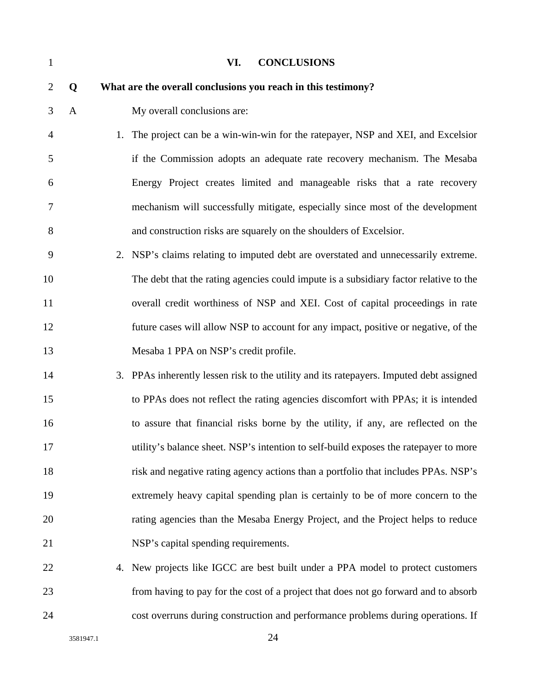| $\mathbf{1}$   |   |    | VI.<br><b>CONCLUSIONS</b>                                                               |
|----------------|---|----|-----------------------------------------------------------------------------------------|
| $\overline{2}$ | Q |    | What are the overall conclusions you reach in this testimony?                           |
| 3              | A |    | My overall conclusions are:                                                             |
| $\overline{4}$ |   | 1. | The project can be a win-win-win for the ratepayer, NSP and XEI, and Excelsion          |
| 5              |   |    | if the Commission adopts an adequate rate recovery mechanism. The Mesaba                |
| 6              |   |    | Energy Project creates limited and manageable risks that a rate recovery                |
| 7              |   |    | mechanism will successfully mitigate, especially since most of the development          |
| 8              |   |    | and construction risks are squarely on the shoulders of Excelsior.                      |
| 9              |   |    | 2. NSP's claims relating to imputed debt are overstated and unnecessarily extreme.      |
| 10             |   |    | The debt that the rating agencies could impute is a subsidiary factor relative to the   |
| 11             |   |    | overall credit worthiness of NSP and XEI. Cost of capital proceedings in rate           |
| 12             |   |    | future cases will allow NSP to account for any impact, positive or negative, of the     |
| 13             |   |    | Mesaba 1 PPA on NSP's credit profile.                                                   |
| 14             |   |    | 3. PPAs inherently lessen risk to the utility and its ratepayers. Imputed debt assigned |
| 15             |   |    | to PPAs does not reflect the rating agencies discomfort with PPAs; it is intended       |
| 16             |   |    | to assure that financial risks borne by the utility, if any, are reflected on the       |
| 17             |   |    | utility's balance sheet. NSP's intention to self-build exposes the ratepayer to more    |
| 18             |   |    | risk and negative rating agency actions than a portfolio that includes PPAs. NSP's      |
| 19             |   |    | extremely heavy capital spending plan is certainly to be of more concern to the         |
| 20             |   |    | rating agencies than the Mesaba Energy Project, and the Project helps to reduce         |
| 21             |   |    | NSP's capital spending requirements.                                                    |
| 22             |   |    | 4. New projects like IGCC are best built under a PPA model to protect customers         |
| 23             |   |    | from having to pay for the cost of a project that does not go forward and to absorb     |
| 24             |   |    | cost overruns during construction and performance problems during operations. If        |